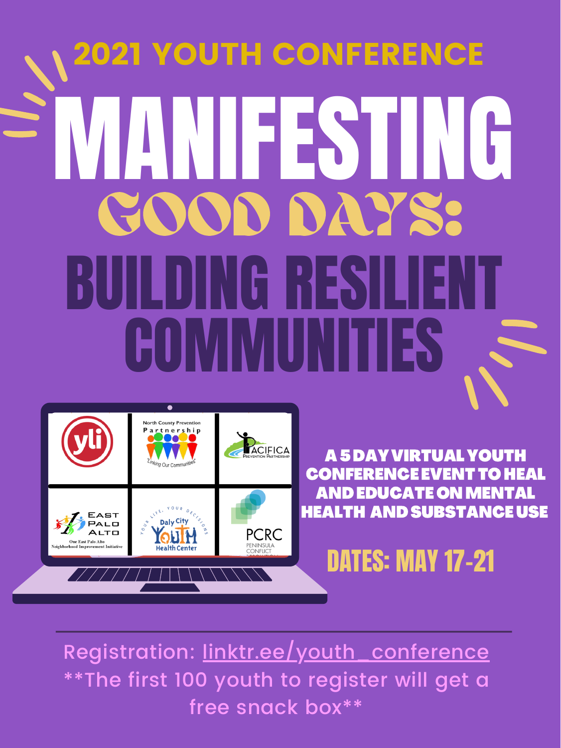Registration: <u>[linktr.ee/youth](https://linktr.ee/youth_conference)\_conference</u> \*\*The first 100 youth to register will get a free snack box\*\*

# MANIFESTING BUILDING RESILIENT COMMUNITIES GOOD DAYS: 2021 YOUTH CONFERENCE



#### A5 DAYVIRTUAL YOUTH CONFERENCE EVENTTO HEAL ANDEDUCATE ONMENTAL HEALTH AND SUBSTANCE USE

# DATES: MAY 17-21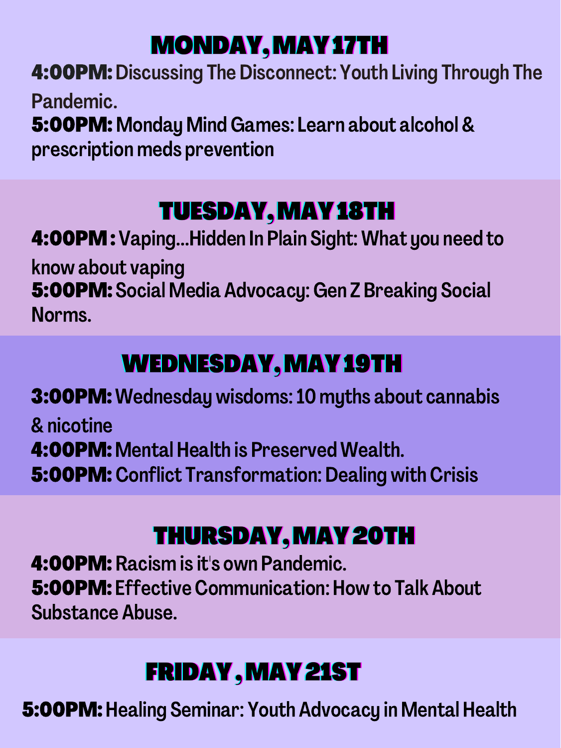#### MONDAY, MAYAZIH

4:00PM:Discussing The Disconnect: Youth Living Through The Pandemic. 5:00PM: Monday Mind Games: Learn about alcohol & prescription meds prevention

### TUESDAY, MAY18TH

4:00PM:Vaping...Hidden In Plain Sight: What you need to

know about vaping 5:00PM: Social Media Advocacy:Gen Z Breaking Social Norms.

# WEDNESDAY, MAY 19 TH

3:00PM:Wednesday wisdoms:10 myths about cannabis & nicotine 4:00PM: Mental Health is Preserved Wealth. 5:00PM: Conflict Transformation: Dealing with Crisis

#### THURSDAY, MAY 20TH

4:00PM: Racism is it's own Pandemic. 5:00PM: Effective Communication: How to Talk About Substance Abuse.

### **FRIDAY, MAY 21ST**

5:00PM:Healing Seminar: Youth Advocacy in Mental Health